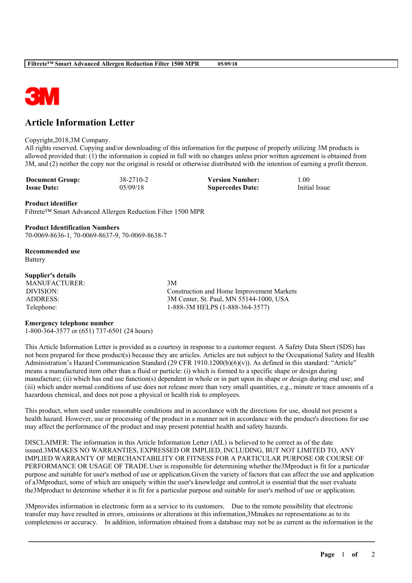

# **Article Information Letter**

#### Copyright,2018,3M Company.

All rights reserved. Copying and/or downloading of this information for the purpose of properly utilizing 3M products is allowed provided that: (1) the information is copied in full with no changes unless prior written agreement is obtained from 3M, and (2) neither the copy nor the original is resold or otherwise distributed with the intention of earning a profit thereon.

| <b>Document Group:</b> | 38-2710-2 | <b>Version Number:</b>  | .00.          |
|------------------------|-----------|-------------------------|---------------|
| <b>Issue Date:</b>     | 05/09/18  | <b>Supercedes Date:</b> | Initial Issue |

### **Product identifier**

Filtrete™ Smart Advanced Allergen Reduction Filter 1500 MPR

**Product Identification Numbers** 70-0069-8636-1, 70-0069-8637-9, 70-0069-8638-7

**Recommended use** Battery

### **Supplier's details**

MANUFACTURER: 3M

DIVISION: Construction and Home Improvement Markets ADDRESS: 3M Center, St. Paul, MN 55144-1000, USA Telephone: 1-888-3M HELPS (1-888-364-3577)

## **Emergency telephone number**

1-800-364-3577 or (651) 737-6501 (24 hours)

This Article Information Letter is provided as a courtesy in response to a customer request. A Safety Data Sheet (SDS) has not been prepared for these product(s) because they are articles. Articles are not subject to the Occupational Safety and Health Administration's Hazard Communication Standard (29 CFR 1910.1200(b)(6)(v)). As defined in this standard: "Article" means a manufactured item other than a fluid or particle: (i) which is formed to a specific shape or design during manufacture; (ii) which has end use function(s) dependent in whole or in part upon its shape or design during end use; and (iii) which under normal conditions of use does not release more than very small quantities, e.g., minute or trace amounts of a hazardous chemical, and does not pose a physical or health risk to employees.

This product, when used under reasonable conditions and in accordance with the directions for use, should not present a health hazard. However, use or processing of the product in a manner not in accordance with the product's directions for use may affect the performance of the product and may present potential health and safety hazards.

DISCLAIMER: The information in this Article Information Letter (AIL) is believed to be correct as of the date issued.3MMAKES NO WARRANTIES, EXPRESSED OR IMPLIED, INCLUDING, BUT NOT LIMITED TO, ANY IMPLIED WARRANTY OF MERCHANTABILITY OR FITNESS FOR A PARTICULAR PURPOSE OR COURSE OF PERFORMANCE OR USAGE OF TRADE.User is responsible for determining whether the3Mproduct is fit for a particular purpose and suitable for user's method of use or application.Given the variety of factors that can affect the use and application of a3Mproduct, some of which are uniquely within the user's knowledge and control,it is essential that the user evaluate the3Mproduct to determine whether it is fit for a particular purpose and suitable for user's method of use or application.

3Mprovides information in electronic form as a service to its customers. Due to the remote possibility that electronic transfer may have resulted in errors, omissions or alterations in this information,3Mmakes no representations as to its completeness or accuracy. In addition, information obtained from a database may not be as current as the information in the

\_\_\_\_\_\_\_\_\_\_\_\_\_\_\_\_\_\_\_\_\_\_\_\_\_\_\_\_\_\_\_\_\_\_\_\_\_\_\_\_\_\_\_\_\_\_\_\_\_\_\_\_\_\_\_\_\_\_\_\_\_\_\_\_\_\_\_\_\_\_\_\_\_\_\_\_\_\_\_\_\_\_\_\_\_\_\_\_\_\_